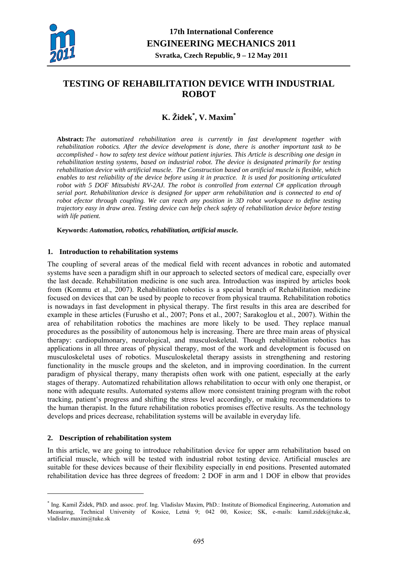

# **TESTING OF REHABILITATION DEVICE WITH INDUSTRIAL ROBOT**

## **K. Židek\* , V. Maxim\***

**Abstract:** *The automatized rehabilitation area is currently in fast development together with rehabilitation robotics. After the device development is done, there is another important task to be accomplished - how to safety test device without patient injuries. This Article is describing one design in rehabilitation testing systems, based on industrial robot. The device is designated primarily for testing rehabilitation device with artificial muscle. The Construction based on artificial muscle is flexible, which enables to test reliability of the device before using it in practice. It is used for positioning articulated robot with 5 DOF Mitsubishi RV-2AJ. The robot is controlled from external C# application through serial port. Rehabilitation device is designed for upper arm rehabilitation and is connected to end of robot efector through coupling. We can reach any position in 3D robot workspace to define testing trajectory easy in draw area. Testing device can help check safety of rehabilitation device before testing with life patient.* 

**Keywords:** *Automation, robotics, rehabilitation, artificial muscle.* 

### **1. Introduction to rehabilitation systems**

The coupling of several areas of the medical field with recent advances in robotic and automated systems have seen a paradigm shift in our approach to selected sectors of medical care, especially over the last decade. Rehabilitation medicine is one such area. Introduction was inspired by articles book from (Kommu et al., 2007). Rehabilitation robotics is a special branch of Rehabilitation medicine focused on devices that can be used by people to recover from physical trauma. Rehabilitation robotics is nowadays in fast development in physical therapy. The first results in this area are described for example in these articles (Furusho et al., 2007; Pons et al., 2007; Sarakoglou et al., 2007). Within the area of rehabilitation robotics the machines are more likely to be used. They replace manual procedures as the possibility of autonomous help is increasing. There are three main areas of physical therapy: cardiopulmonary, neurological, and musculoskeletal. Though rehabilitation robotics has applications in all three areas of physical therapy, most of the work and development is focused on musculoskeletal uses of robotics. Musculoskeletal therapy assists in strengthening and restoring functionality in the muscle groups and the skeleton, and in improving coordination. In the current paradigm of physical therapy, many therapists often work with one patient, especially at the early stages of therapy. Automatized rehabilitation allows rehabilitation to occur with only one therapist, or none with adequate results. Automated systems allow more consistent training program with the robot tracking, patient's progress and shifting the stress level accordingly, or making recommendations to the human therapist. In the future rehabilitation robotics promises effective results. As the technology develops and prices decrease, rehabilitation systems will be available in everyday life.

### **2. Description of rehabilitation system**

1

In this article, we are going to introduce rehabilitation device for upper arm rehabilitation based on artificial muscle, which will be tested with industrial robot testing device. Artificial muscles are suitable for these devices because of their flexibility especially in end positions. Presented automated rehabilitation device has three degrees of freedom: 2 DOF in arm and 1 DOF in elbow that provides

<sup>\*</sup> Ing. Kamil Židek, PhD. and assoc. prof. Ing. Vladislav Maxim, PhD.: Institute of Biomedical Engineering, Automation and Measuring, Technical University of Kosice, Letná 9; 042 00, Kosice; SK, e-mails: kamil.zidek@tuke.sk, vladislav.maxim@tuke.sk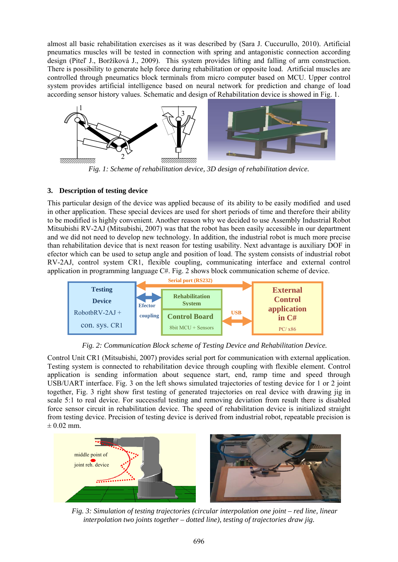almost all basic rehabilitation exercises as it was described by (Sara J. Cuccurullo, 2010). Artificial pneumatics muscles will be tested in connection with spring and antagonistic connection according design (Piteľ J., Boržíková J., 2009). This system provides lifting and falling of arm construction. There is possibility to generate help force during rehabilitation or opposite load. Artificial muscles are controlled through pneumatics block terminals from micro computer based on MCU. Upper control system provides artificial intelligence based on neural network for prediction and change of load according sensor history values. Schematic and design of Rehabilitation device is showed in Fig. 1.



*Fig. 1: Scheme of rehabilitation device, 3D design of rehabilitation device.* 

### **3. Description of testing device**

This particular design of the device was applied because of its ability to be easily modified and used in other application. These special devices are used for short periods of time and therefore their ability to be modified is highly convenient. Another reason why we decided to use Assembly Industrial Robot Mitsubishi RV-2AJ (Mitsubishi, 2007) was that the robot has been easily accessible in our department and we did not need to develop new technology. In addition, the industrial robot is much more precise than rehabilitation device that is next reason for testing usability. Next advantage is auxiliary DOF in efector which can be used to setup angle and position of load. The system consists of industrial robot RV-2AJ, control system CR1, flexible coupling, communicating interface and external control application in programming language C#. Fig. 2 shows block communication scheme of device.



*Fig. 2: Communication Block scheme of Testing Device and Rehabilitation Device.* 

Control Unit CR1 (Mitsubishi, 2007) provides serial port for communication with external application. Testing system is connected to rehabilitation device through coupling with flexible element. Control application is sending information about sequence start, end, ramp time and speed through USB/UART interface. Fig. 3 on the left shows simulated trajectories of testing device for 1 or 2 joint together, Fig. 3 right show first testing of generated trajectories on real device with drawing jig in scale 5:1 to real device. For successful testing and removing deviation from result there is disabled force sensor circuit in rehabilitation device. The speed of rehabilitation device is initialized straight from testing device. Precision of testing device is derived from industrial robot, repeatable precision is  $\pm$  0.02 mm.



*Fig. 3: Simulation of testing trajectories (circular interpolation one joint – red line, linear interpolation two joints together – dotted line), testing of trajectories draw jig.*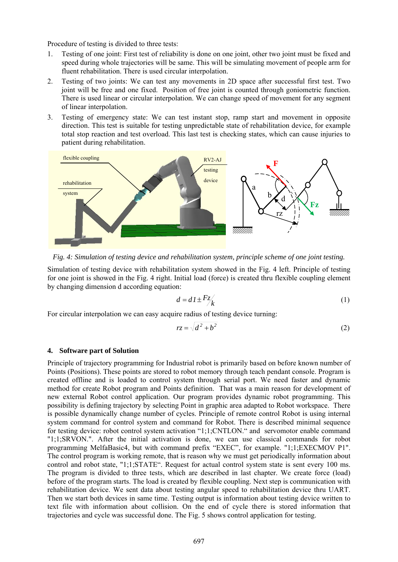Procedure of testing is divided to three tests:

- 1. Testing of one joint: First test of reliability is done on one joint, other two joint must be fixed and speed during whole trajectories will be same. This will be simulating movement of people arm for fluent rehabilitation. There is used circular interpolation.
- 2. Testing of two joints: We can test any movements in 2D space after successful first test. Two joint will be free and one fixed. Position of free joint is counted through goniometric function. There is used linear or circular interpolation. We can change speed of movement for any segment of linear interpolation.
- 3. Testing of emergency state: We can test instant stop, ramp start and movement in opposite direction. This test is suitable for testing unpredictable state of rehabilitation device, for example total stop reaction and test overload. This last test is checking states, which can cause injuries to patient during rehabilitation.



*Fig. 4: Simulation of testing device and rehabilitation system, principle scheme of one joint testing.* 

Simulation of testing device with rehabilitation system showed in the Fig. 4 left. Principle of testing for one joint is showed in the Fig. 4 right. Initial load (force) is created thru flexible coupling element by changing dimension d according equation:

$$
d = dI \pm \frac{Fz}{k} \tag{1}
$$

For circular interpolation we can easy acquire radius of testing device turning:

$$
rz = \sqrt{d^2 + b^2} \tag{2}
$$

#### **4. Software part of Solution**

Principle of trajectory programming for Industrial robot is primarily based on before known number of Points (Positions). These points are stored to robot memory through teach pendant console. Program is created offline and is loaded to control system through serial port. We need faster and dynamic method for create Robot program and Points definition. That was a main reason for development of new external Robot control application. Our program provides dynamic robot programming. This possibility is defining trajectory by selecting Point in graphic area adapted to Robot workspace. There is possible dynamically change number of cycles. Principle of remote control Robot is using internal system command for control system and command for Robot. There is described minimal sequence for testing device: robot control system activation "1;1;CNTLON." and servomotor enable command "1;1;SRVON.". After the initial activation is done, we can use classical commands for robot programming MelfaBasic4, but with command prefix "EXEC", for example. "1;1;EXECMOV P1". The control program is working remote, that is reason why we must get periodically information about control and robot state, "1;1;STATE". Request for actual control system state is sent every 100 ms. The program is divided to three tests, which are described in last chapter. We create force (load) before of the program starts. The load is created by flexible coupling. Next step is communication with rehabilitation device. We sent data about testing angular speed to rehabilitation device thru UART. Then we start both devices in same time. Testing output is information about testing device written to text file with information about collision. On the end of cycle there is stored information that trajectories and cycle was successful done. The Fig. 5 shows control application for testing.